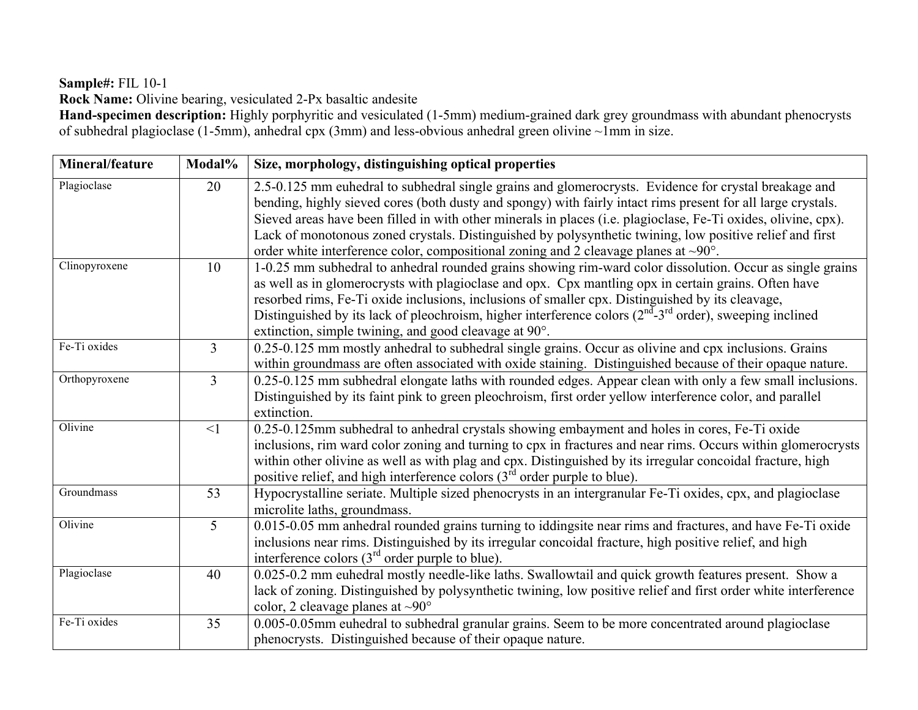#### **Sample#:** FIL 10-1

**Rock Name:** Olivine bearing, vesiculated 2-Px basaltic andesite

**Hand-specimen description:** Highly porphyritic and vesiculated (1-5mm) medium-grained dark grey groundmass with abundant phenocrysts of subhedral plagioclase (1-5mm), anhedral cpx (3mm) and less-obvious anhedral green olivine ~1mm in size.

| Mineral/feature | Modal%         | Size, morphology, distinguishing optical properties                                                                                                                                                                                                                                                                                                                                                                                                                                                                                                                                              |
|-----------------|----------------|--------------------------------------------------------------------------------------------------------------------------------------------------------------------------------------------------------------------------------------------------------------------------------------------------------------------------------------------------------------------------------------------------------------------------------------------------------------------------------------------------------------------------------------------------------------------------------------------------|
| Plagioclase     | 20             | 2.5-0.125 mm euhedral to subhedral single grains and glomerocrysts. Evidence for crystal breakage and<br>bending, highly sieved cores (both dusty and spongy) with fairly intact rims present for all large crystals.<br>Sieved areas have been filled in with other minerals in places (i.e. plagioclase, Fe-Ti oxides, olivine, cpx).<br>Lack of monotonous zoned crystals. Distinguished by polysynthetic twining, low positive relief and first                                                                                                                                              |
| Clinopyroxene   | 10             | order white interference color, compositional zoning and 2 cleavage planes at $\sim 90^{\circ}$ .<br>1-0.25 mm subhedral to anhedral rounded grains showing rim-ward color dissolution. Occur as single grains<br>as well as in glomerocrysts with plagioclase and opx. Cpx mantling opx in certain grains. Often have<br>resorbed rims, Fe-Ti oxide inclusions, inclusions of smaller cpx. Distinguished by its cleavage,<br>Distinguished by its lack of pleochroism, higher interference colors $(2nd-3rd$ order), sweeping inclined<br>extinction, simple twining, and good cleavage at 90°. |
| Fe-Ti oxides    | 3              | 0.25-0.125 mm mostly anhedral to subhedral single grains. Occur as olivine and cpx inclusions. Grains<br>within groundmass are often associated with oxide staining. Distinguished because of their opaque nature.                                                                                                                                                                                                                                                                                                                                                                               |
| Orthopyroxene   | 3              | 0.25-0.125 mm subhedral elongate laths with rounded edges. Appear clean with only a few small inclusions.<br>Distinguished by its faint pink to green pleochroism, first order yellow interference color, and parallel<br>extinction.                                                                                                                                                                                                                                                                                                                                                            |
| Olivine         | $\leq$ 1       | 0.25-0.125mm subhedral to anhedral crystals showing embayment and holes in cores, Fe-Ti oxide<br>inclusions, rim ward color zoning and turning to cpx in fractures and near rims. Occurs within glomerocrysts<br>within other olivine as well as with plag and cpx. Distinguished by its irregular concoidal fracture, high<br>positive relief, and high interference colors $(3rd$ order purple to blue).                                                                                                                                                                                       |
| Groundmass      | 53             | Hypocrystalline seriate. Multiple sized phenocrysts in an intergranular Fe-Ti oxides, cpx, and plagioclase<br>microlite laths, groundmass.                                                                                                                                                                                                                                                                                                                                                                                                                                                       |
| Olivine         | $\overline{5}$ | 0.015-0.05 mm anhedral rounded grains turning to iddingsite near rims and fractures, and have Fe-Ti oxide<br>inclusions near rims. Distinguished by its irregular concoidal fracture, high positive relief, and high<br>interference colors $(3rd$ order purple to blue).                                                                                                                                                                                                                                                                                                                        |
| Plagioclase     | 40             | 0.025-0.2 mm euhedral mostly needle-like laths. Swallowtail and quick growth features present. Show a<br>lack of zoning. Distinguished by polysynthetic twining, low positive relief and first order white interference<br>color, 2 cleavage planes at $\sim 90^\circ$                                                                                                                                                                                                                                                                                                                           |
| Fe-Ti oxides    | 35             | 0.005-0.05mm euhedral to subhedral granular grains. Seem to be more concentrated around plagioclase<br>phenocrysts. Distinguished because of their opaque nature.                                                                                                                                                                                                                                                                                                                                                                                                                                |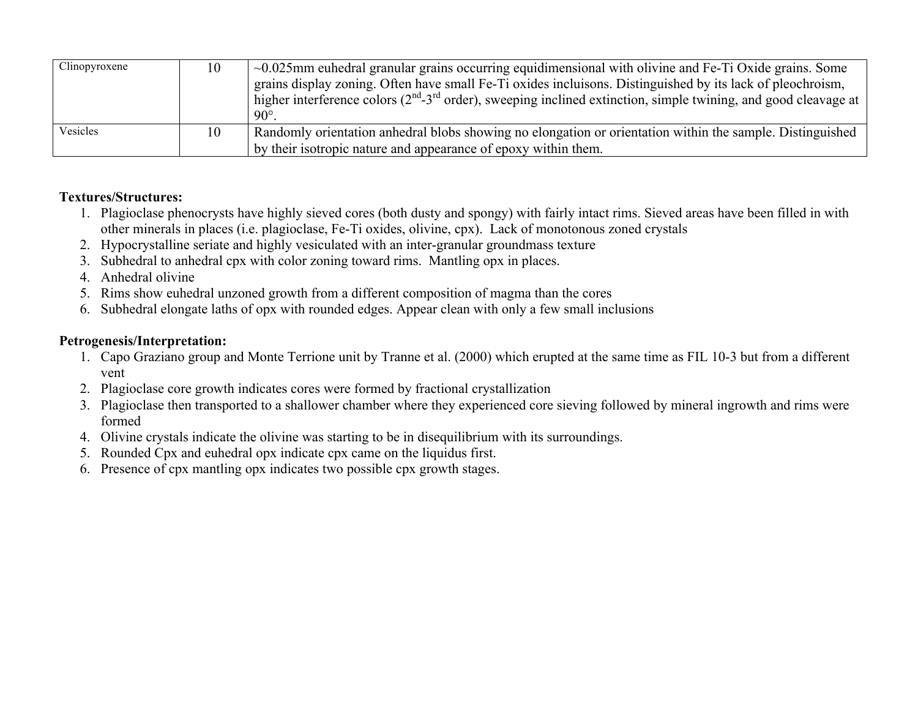| Clinopyroxene | 10 | $\sim 0.025$ mm euhedral granular grains occurring equidimensional with olivine and Fe-Ti Oxide grains. Some<br>grains display zoning. Often have small Fe-Ti oxides incluisons. Distinguished by its lack of pleochroism,<br>higher interference colors ( $2^{nd}$ -3 <sup>rd</sup> order), sweeping inclined extinction, simple twining, and good cleavage at<br>$90^{\circ}$ |
|---------------|----|---------------------------------------------------------------------------------------------------------------------------------------------------------------------------------------------------------------------------------------------------------------------------------------------------------------------------------------------------------------------------------|
| Vesicles      | 10 | Randomly orientation annedral blobs showing no elongation or orientation within the sample. Distinguished<br>by their isotropic nature and appearance of epoxy within them.                                                                                                                                                                                                     |

- 1. Plagioclase phenocrysts have highly sieved cores (both dusty and spongy) with fairly intact rims. Sieved areas have been filled in with other minerals in places (i.e. plagioclase, Fe-Ti oxides, olivine, cpx). Lack of monotonous zoned crystals
- 2. Hypocrystalline seriate and highly vesiculated with an inter-granular groundmass texture
- 3. Subhedral to anhedral cpx with color zoning toward rims. Mantling opx in places.
- 4. Anhedral olivine
- 5. Rims show euhedral unzoned growth from a different composition of magma than the cores
- 6. Subhedral elongate laths of opx with rounded edges. Appear clean with only a few small inclusions

- 1. Capo Graziano group and Monte Terrione unit by Tranne et al. (2000) which erupted at the same time as FIL 10-3 but from a different vent
- 2. Plagioclase core growth indicates cores were formed by fractional crystallization
- 3. Plagioclase then transported to a shallower chamber where they experienced core sieving followed by mineral ingrowth and rims were formed
- 4. Olivine crystals indicate the olivine was starting to be in disequilibrium with its surroundings.
- 5. Rounded Cpx and euhedral opx indicate cpx came on the liquidus first.
- 6. Presence of cpx mantling opx indicates two possible cpx growth stages.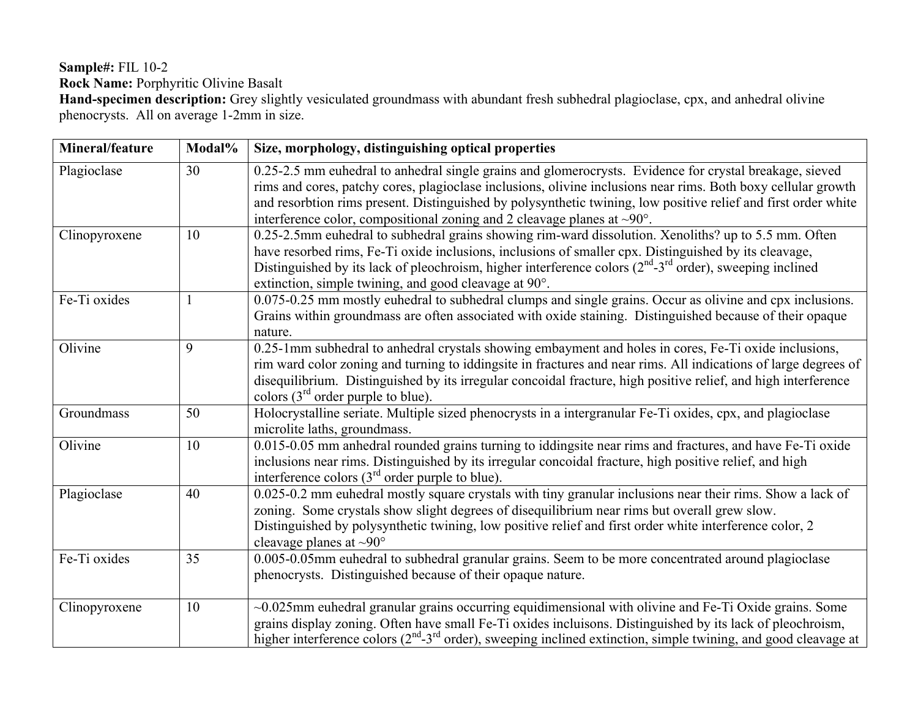# **Sample#:** FIL 10-2 **Rock Name:** Porphyritic Olivine Basalt

**Hand-specimen description:** Grey slightly vesiculated groundmass with abundant fresh subhedral plagioclase, cpx, and anhedral olivine phenocrysts. All on average 1-2mm in size.

| Mineral/feature | Modal% | Size, morphology, distinguishing optical properties                                                                                                                                                                                                                                                                                                                                                                                 |
|-----------------|--------|-------------------------------------------------------------------------------------------------------------------------------------------------------------------------------------------------------------------------------------------------------------------------------------------------------------------------------------------------------------------------------------------------------------------------------------|
| Plagioclase     | 30     | 0.25-2.5 mm euhedral to anhedral single grains and glomerocrysts. Evidence for crystal breakage, sieved<br>rims and cores, patchy cores, plagioclase inclusions, olivine inclusions near rims. Both boxy cellular growth<br>and resorbtion rims present. Distinguished by polysynthetic twining, low positive relief and first order white<br>interference color, compositional zoning and 2 cleavage planes at $\sim 90^{\circ}$ . |
| Clinopyroxene   | 10     | 0.25-2.5mm euhedral to subhedral grains showing rim-ward dissolution. Xenoliths? up to 5.5 mm. Often<br>have resorbed rims, Fe-Ti oxide inclusions, inclusions of smaller cpx. Distinguished by its cleavage,<br>Distinguished by its lack of pleochroism, higher interference colors $(2nd-3rd$ order), sweeping inclined<br>extinction, simple twining, and good cleavage at 90°.                                                 |
| Fe-Ti oxides    |        | 0.075-0.25 mm mostly euhedral to subhedral clumps and single grains. Occur as olivine and cpx inclusions.<br>Grains within ground mass are often associated with oxide staining. Distinguished because of their opaque<br>nature.                                                                                                                                                                                                   |
| Olivine         | 9      | 0.25-1mm subhedral to anhedral crystals showing embayment and holes in cores, Fe-Ti oxide inclusions,<br>rim ward color zoning and turning to iddingsite in fractures and near rims. All indications of large degrees of<br>disequilibrium. Distinguished by its irregular concoidal fracture, high positive relief, and high interference<br>colors $(3rd order purple to blue)$ .                                                 |
| Groundmass      | 50     | Holocrystalline seriate. Multiple sized phenocrysts in a intergranular Fe-Ti oxides, cpx, and plagioclase<br>microlite laths, groundmass.                                                                                                                                                                                                                                                                                           |
| Olivine         | 10     | 0.015-0.05 mm anhedral rounded grains turning to iddingsite near rims and fractures, and have Fe-Ti oxide<br>inclusions near rims. Distinguished by its irregular concoidal fracture, high positive relief, and high<br>interference colors $(3rd$ order purple to blue).                                                                                                                                                           |
| Plagioclase     | 40     | 0.025-0.2 mm euhedral mostly square crystals with tiny granular inclusions near their rims. Show a lack of<br>zoning. Some crystals show slight degrees of disequilibrium near rims but overall grew slow.<br>Distinguished by polysynthetic twining, low positive relief and first order white interference color, 2<br>cleavage planes at $\sim 90^\circ$                                                                         |
| Fe-Ti oxides    | 35     | 0.005-0.05mm euhedral to subhedral granular grains. Seem to be more concentrated around plagioclase<br>phenocrysts. Distinguished because of their opaque nature.                                                                                                                                                                                                                                                                   |
| Clinopyroxene   | 10     | $\sim 0.025$ mm euhedral granular grains occurring equidimensional with olivine and Fe-Ti Oxide grains. Some<br>grains display zoning. Often have small Fe-Ti oxides incluisons. Distinguished by its lack of pleochroism,<br>higher interference colors $(2^{nd} - 3^{rd})$ order), sweeping inclined extinction, simple twining, and good cleavage at                                                                             |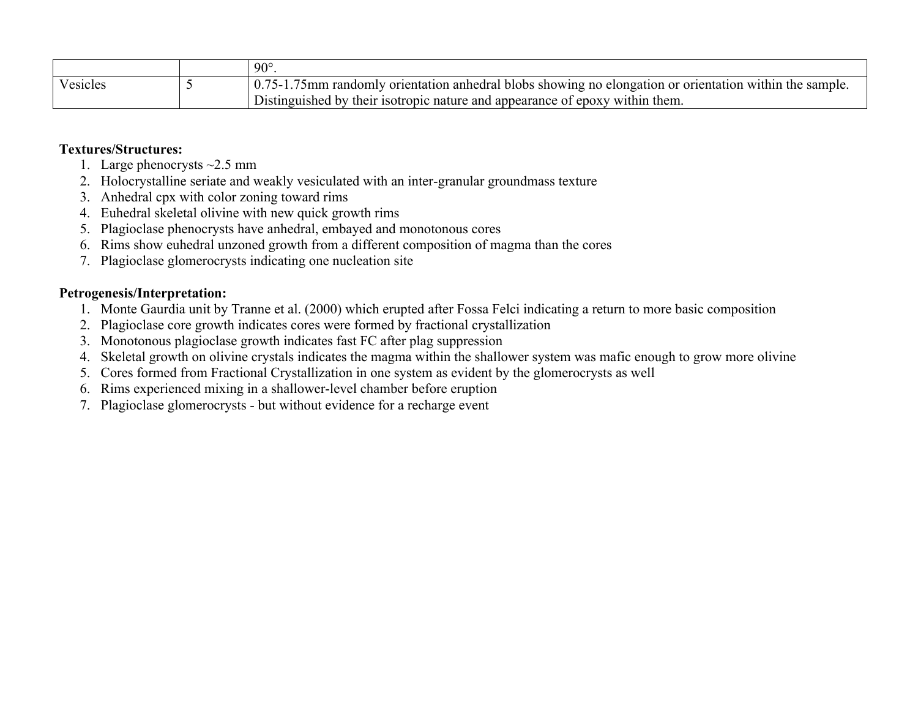|          | $90^{\circ}$                                                                                             |
|----------|----------------------------------------------------------------------------------------------------------|
| Vesicles | 10.75-1.75mm randomly orientation annedral blobs showing no elongation or orientation within the sample. |
|          | Distinguished by their isotropic nature and appearance of epoxy within them.                             |

- 1. Large phenocrysts  $\sim$ 2.5 mm
- 2. Holocrystalline seriate and weakly vesiculated with an inter-granular groundmass texture
- 3. Anhedral cpx with color zoning toward rims
- 4. Euhedral skeletal olivine with new quick growth rims
- 5. Plagioclase phenocrysts have anhedral, embayed and monotonous cores
- 6. Rims show euhedral unzoned growth from a different composition of magma than the cores
- 7. Plagioclase glomerocrysts indicating one nucleation site

- 1. Monte Gaurdia unit by Tranne et al. (2000) which erupted after Fossa Felci indicating a return to more basic composition
- 2. Plagioclase core growth indicates cores were formed by fractional crystallization
- 3. Monotonous plagioclase growth indicates fast FC after plag suppression
- 4. Skeletal growth on olivine crystals indicates the magma within the shallower system was mafic enough to grow more olivine
- 5. Cores formed from Fractional Crystallization in one system as evident by the glomerocrysts as well
- 6. Rims experienced mixing in a shallower-level chamber before eruption
- 7. Plagioclase glomerocrysts but without evidence for a recharge event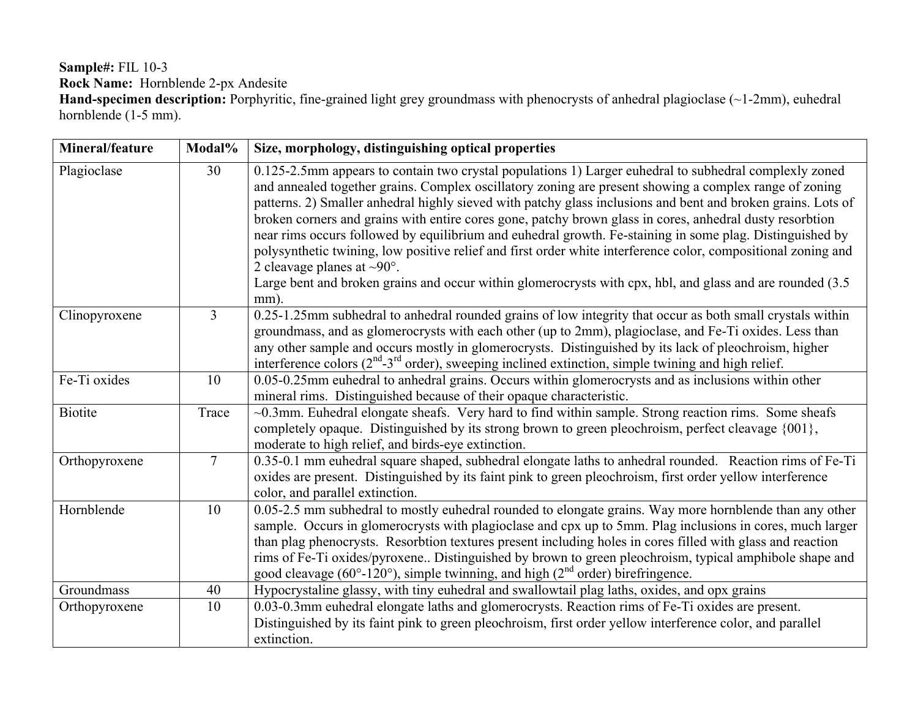#### **Sample#:** FIL 10-3 **Rock Name:** Hornblende 2-px Andesite **Hand-specimen description:** Porphyritic, fine-grained light grey groundmass with phenocrysts of anhedral plagioclase (~1-2mm), euhedral hornblende (1-5 mm).

**Mineral/feature** Modal% Size, morphology, distinguishing optical properties Plagioclase 1 30 0.125-2.5mm appears to contain two crystal populations 1) Larger euhedral to subhedral complexly zoned and annealed together grains. Complex oscillatory zoning are present showing a complex range of zoning patterns. 2) Smaller anhedral highly sieved with patchy glass inclusions and bent and broken grains. Lots of broken corners and grains with entire cores gone, patchy brown glass in cores, anhedral dusty resorbtion near rims occurs followed by equilibrium and euhedral growth. Fe-staining in some plag. Distinguished by polysynthetic twining, low positive relief and first order white interference color, compositional zoning and 2 cleavage planes at  $\sim 90^\circ$ . Large bent and broken grains and occur within glomerocrysts with cpx, hbl, and glass and are rounded (3.5) mm). Clinopyroxene 3 0.25-1.25mm subhedral to anhedral rounded grains of low integrity that occur as both small crystals within groundmass, and as glomerocrysts with each other (up to 2mm), plagioclase, and Fe-Ti oxides. Less than any other sample and occurs mostly in glomerocrysts. Distinguished by its lack of pleochroism, higher interference colors  $(2<sup>nd</sup>-3<sup>rd</sup>$  order), sweeping inclined extinction, simple twining and high relief. Fe-Ti oxides  $10 \t 10 \t 0.05-0.25$ mm euhedral to anhedral grains. Occurs within glomerocrysts and as inclusions within other mineral rims. Distinguished because of their opaque characteristic. Biotite  $\vert$  Trace  $\vert$  ~0.3mm. Euhedral elongate sheafs. Very hard to find within sample. Strong reaction rims. Some sheafs completely opaque. Distinguished by its strong brown to green pleochroism, perfect cleavage {001}, moderate to high relief, and birds-eye extinction. Orthopyroxene 7 0.35-0.1 mm euhedral square shaped, subhedral elongate laths to anhedral rounded. Reaction rims of Fe-Ti oxides are present. Distinguished by its faint pink to green pleochroism, first order yellow interference color, and parallel extinction. Hornblende 10 0.05-2.5 mm subhedral to mostly euhedral rounded to elongate grains. Way more hornblende than any other sample. Occurs in glomerocrysts with plagioclase and cpx up to 5mm. Plag inclusions in cores, much larger than plag phenocrysts. Resorbtion textures present including holes in cores filled with glass and reaction rims of Fe-Ti oxides/pyroxene.. Distinguished by brown to green pleochroism, typical amphibole shape and good cleavage  $(60^{\circ}-120^{\circ})$ , simple twinning, and high  $(2^{\text{nd}} \text{ order})$  birefringence. Groundmass 140 Hypocrystaline glassy, with tiny euhedral and swallowtail plag laths, oxides, and opx grains Orthopyroxene 10 0.03-0.3mm euhedral elongate laths and glomerocrysts. Reaction rims of Fe-Ti oxides are present. Distinguished by its faint pink to green pleochroism, first order yellow interference color, and parallel extinction.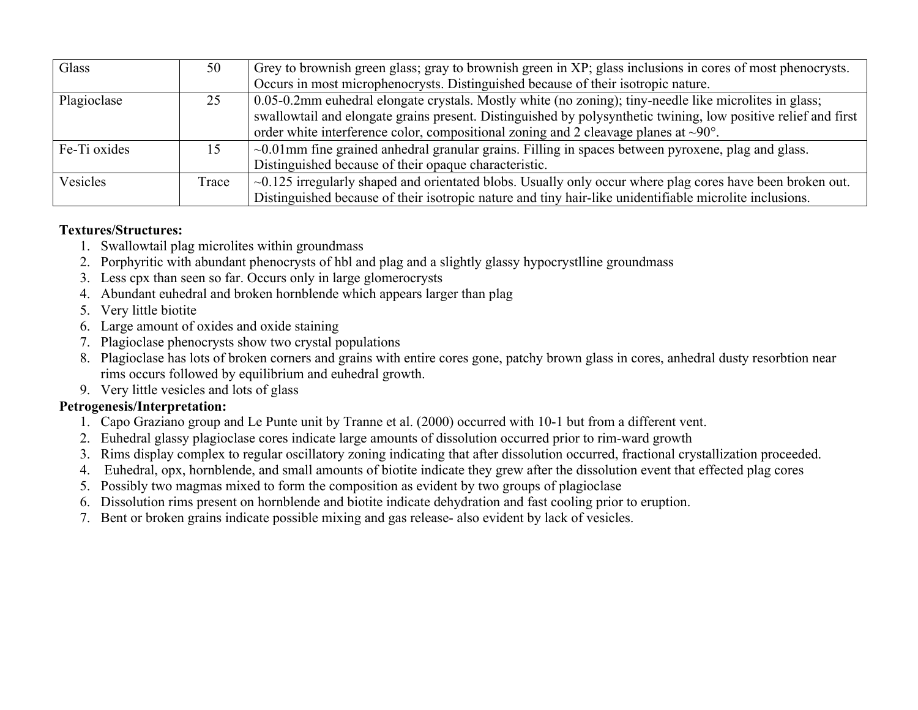| Glass        | 50    | Grey to brownish green glass; gray to brownish green in XP; glass inclusions in cores of most phenocrysts.      |
|--------------|-------|-----------------------------------------------------------------------------------------------------------------|
|              |       | Occurs in most microphenocrysts. Distinguished because of their isotropic nature.                               |
| Plagioclase  |       | 0.05-0.2mm euhedral elongate crystals. Mostly white (no zoning); tiny-needle like microlites in glass;          |
|              |       | swallowtail and elongate grains present. Distinguished by polysynthetic twining, low positive relief and first  |
|              |       | order white interference color, compositional zoning and 2 cleavage planes at $\sim 90^{\circ}$ .               |
| Fe-Ti oxides |       | $\sim 0.01$ mm fine grained anhedral granular grains. Filling in spaces between pyroxene, plag and glass.       |
|              |       | Distinguished because of their opaque characteristic.                                                           |
| Vesicles     | Trace | $\sim$ 0.125 irregularly shaped and orientated blobs. Usually only occur where plag cores have been broken out. |
|              |       | Distinguished because of their isotropic nature and tiny hair-like unidentifiable microlite inclusions.         |

- 1. Swallowtail plag microlites within groundmass
- 2. Porphyritic with abundant phenocrysts of hbl and plag and a slightly glassy hypocrystlline groundmass
- 3. Less cpx than seen so far. Occurs only in large glomerocrysts
- 4. Abundant euhedral and broken hornblende which appears larger than plag
- 5. Very little biotite
- 6. Large amount of oxides and oxide staining
- 7. Plagioclase phenocrysts show two crystal populations
- 8. Plagioclase has lots of broken corners and grains with entire cores gone, patchy brown glass in cores, anhedral dusty resorbtion near rims occurs followed by equilibrium and euhedral growth.
- 9. Very little vesicles and lots of glass

- 1. Capo Graziano group and Le Punte unit by Tranne et al. (2000) occurred with 10-1 but from a different vent.
- 2. Euhedral glassy plagioclase cores indicate large amounts of dissolution occurred prior to rim-ward growth
- 3. Rims display complex to regular oscillatory zoning indicating that after dissolution occurred, fractional crystallization proceeded.
- 4. Euhedral, opx, hornblende, and small amounts of biotite indicate they grew after the dissolution event that effected plag cores
- 5. Possibly two magmas mixed to form the composition as evident by two groups of plagioclase
- 6. Dissolution rims present on hornblende and biotite indicate dehydration and fast cooling prior to eruption.
- 7. Bent or broken grains indicate possible mixing and gas release- also evident by lack of vesicles.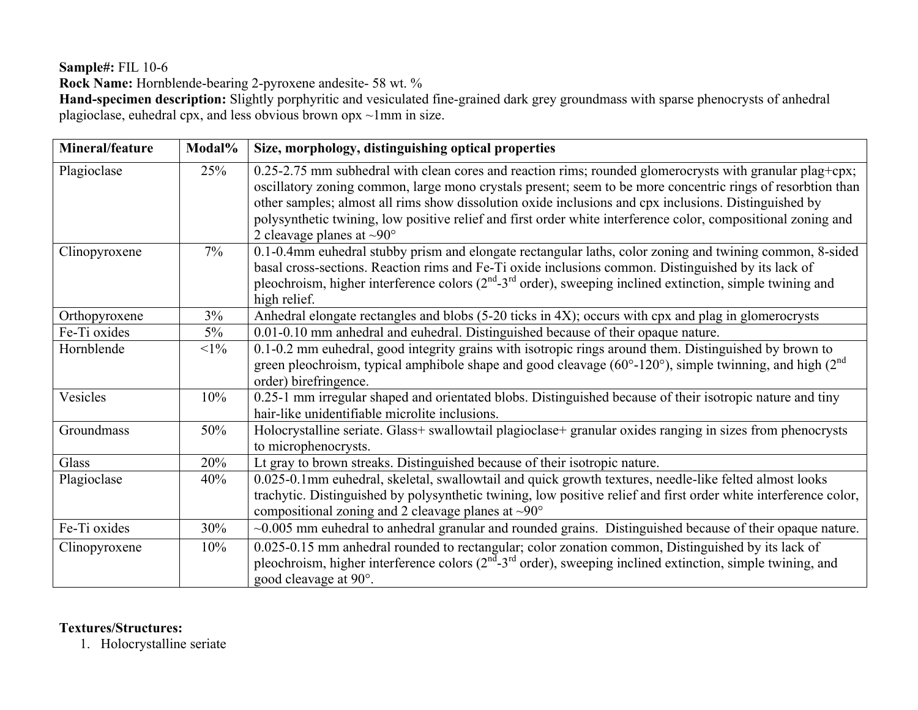**Sample#:** FIL 10-6

**Rock Name:** Hornblende-bearing 2-pyroxene andesite- 58 wt. %

**Hand-specimen description:** Slightly porphyritic and vesiculated fine-grained dark grey groundmass with sparse phenocrysts of anhedral plagioclase, euhedral cpx, and less obvious brown opx ~1mm in size.

| Mineral/feature | Modal% | Size, morphology, distinguishing optical properties                                                                                                                                                                                                                                                                                                                                                                                                                                       |
|-----------------|--------|-------------------------------------------------------------------------------------------------------------------------------------------------------------------------------------------------------------------------------------------------------------------------------------------------------------------------------------------------------------------------------------------------------------------------------------------------------------------------------------------|
| Plagioclase     | 25%    | 0.25-2.75 mm subhedral with clean cores and reaction rims; rounded glomerocrysts with granular plag+cpx;<br>oscillatory zoning common, large mono crystals present; seem to be more concentric rings of resorbtion than<br>other samples; almost all rims show dissolution oxide inclusions and cpx inclusions. Distinguished by<br>polysynthetic twining, low positive relief and first order white interference color, compositional zoning and<br>2 cleavage planes at $\sim 90^\circ$ |
| Clinopyroxene   | $7\%$  | 0.1-0.4mm euhedral stubby prism and elongate rectangular laths, color zoning and twining common, 8-sided<br>basal cross-sections. Reaction rims and Fe-Ti oxide inclusions common. Distinguished by its lack of<br>pleochroism, higher interference colors $(2nd-3rd$ order), sweeping inclined extinction, simple twining and<br>high relief.                                                                                                                                            |
| Orthopyroxene   | 3%     | Anhedral elongate rectangles and blobs (5-20 ticks in 4X); occurs with cpx and plag in glomerocrysts                                                                                                                                                                                                                                                                                                                                                                                      |
| Fe-Ti oxides    | $5\%$  | 0.01-0.10 mm anhedral and euhedral. Distinguished because of their opaque nature.                                                                                                                                                                                                                                                                                                                                                                                                         |
| Hornblende      | $<1\%$ | 0.1-0.2 mm euhedral, good integrity grains with isotropic rings around them. Distinguished by brown to<br>green pleochroism, typical amphibole shape and good cleavage ( $60^{\circ}$ -120°), simple twinning, and high ( $2^{\text{nd}}$<br>order) birefringence.                                                                                                                                                                                                                        |
| Vesicles        | 10%    | 0.25-1 mm irregular shaped and orientated blobs. Distinguished because of their isotropic nature and tiny<br>hair-like unidentifiable microlite inclusions.                                                                                                                                                                                                                                                                                                                               |
| Groundmass      | 50%    | Holocrystalline seriate. Glass+ swallowtail plagioclase+ granular oxides ranging in sizes from phenocrysts<br>to microphenocrysts.                                                                                                                                                                                                                                                                                                                                                        |
| Glass           | 20%    | Lt gray to brown streaks. Distinguished because of their isotropic nature.                                                                                                                                                                                                                                                                                                                                                                                                                |
| Plagioclase     | 40%    | 0.025-0.1mm euhedral, skeletal, swallowtail and quick growth textures, needle-like felted almost looks<br>trachytic. Distinguished by polysynthetic twining, low positive relief and first order white interference color,<br>compositional zoning and 2 cleavage planes at $\sim 90^\circ$                                                                                                                                                                                               |
| Fe-Ti oxides    | 30%    | $\sim 0.005$ mm euhedral to anhedral granular and rounded grains. Distinguished because of their opaque nature.                                                                                                                                                                                                                                                                                                                                                                           |
| Clinopyroxene   | 10%    | 0.025-0.15 mm anhedral rounded to rectangular; color zonation common, Distinguished by its lack of<br>pleochroism, higher interference colors $(2^{nd} - 3^{rd})$ order), sweeping inclined extinction, simple twining, and<br>good cleavage at 90°.                                                                                                                                                                                                                                      |

## **Textures/Structures:**

1. Holocrystalline seriate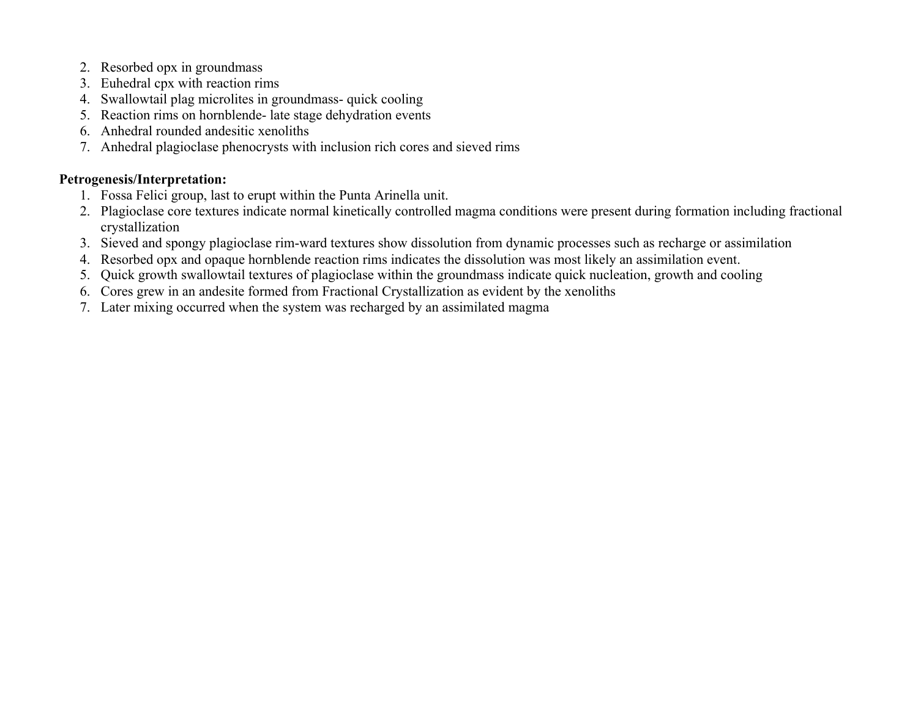- 2. Resorbed opx in groundmass
- 3. Euhedral cpx with reaction rims
- 4. Swallowtail plag microlites in groundmass- quick cooling
- 5. Reaction rims on hornblende- late stage dehydration events
- 6. Anhedral rounded andesitic xenoliths
- 7. Anhedral plagioclase phenocrysts with inclusion rich cores and sieved rims

- 1. Fossa Felici group, last to erupt within the Punta Arinella unit.
- 2. Plagioclase core textures indicate normal kinetically controlled magma conditions were present during formation including fractional crystallization
- 3. Sieved and spongy plagioclase rim-ward textures show dissolution from dynamic processes such as recharge or assimilation
- 4. Resorbed opx and opaque hornblende reaction rims indicates the dissolution was most likely an assimilation event.
- 5. Quick growth swallowtail textures of plagioclase within the groundmass indicate quick nucleation, growth and cooling
- 6. Cores grew in an andesite formed from Fractional Crystallization as evident by the xenoliths
- 7. Later mixing occurred when the system was recharged by an assimilated magma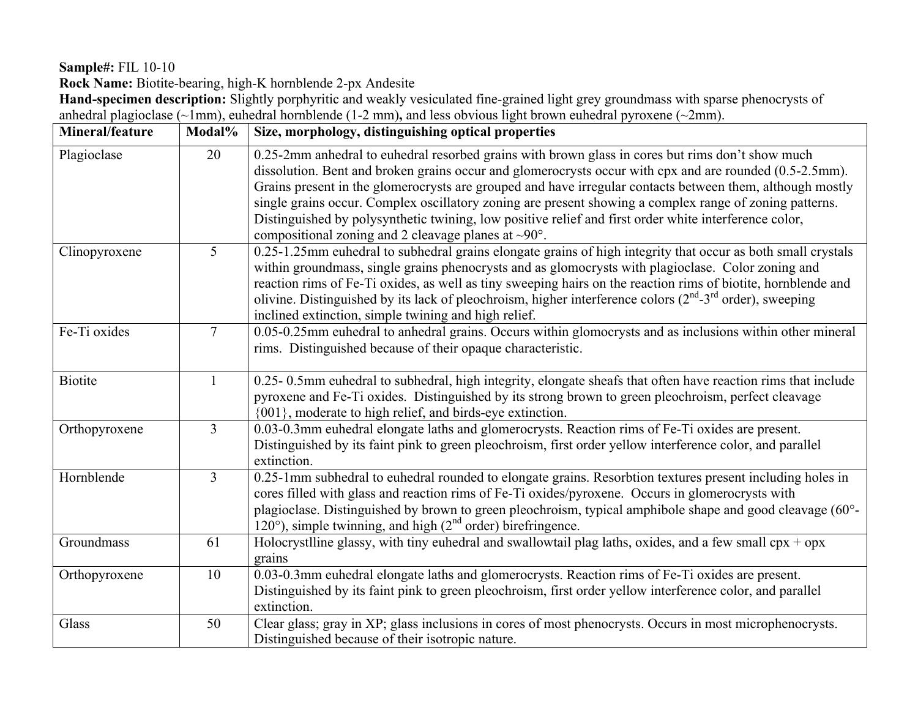**Sample#:** FIL 10-10

**Rock Name:** Biotite-bearing, high-K hornblende 2-px Andesite

**Hand-specimen description:** Slightly porphyritic and weakly vesiculated fine-grained light grey groundmass with sparse phenocrysts of anhedral plagioclase (~1mm), euhedral hornblende (1-2 mm)**,** and less obvious light brown euhedral pyroxene (~2mm).

| Mineral/feature | Modal%          | Size, morphology, distinguishing optical properties                                                                                                                                                                                                                                                                                                                                                                                                                                                                                                                                                             |
|-----------------|-----------------|-----------------------------------------------------------------------------------------------------------------------------------------------------------------------------------------------------------------------------------------------------------------------------------------------------------------------------------------------------------------------------------------------------------------------------------------------------------------------------------------------------------------------------------------------------------------------------------------------------------------|
| Plagioclase     | 20              | 0.25-2mm anhedral to euhedral resorbed grains with brown glass in cores but rims don't show much<br>dissolution. Bent and broken grains occur and glomerocrysts occur with cpx and are rounded (0.5-2.5mm).<br>Grains present in the glomerocrysts are grouped and have irregular contacts between them, although mostly<br>single grains occur. Complex oscillatory zoning are present showing a complex range of zoning patterns.<br>Distinguished by polysynthetic twining, low positive relief and first order white interference color,<br>compositional zoning and 2 cleavage planes at $\sim 90^\circ$ . |
| Clinopyroxene   | 5               | 0.25-1.25mm euhedral to subhedral grains elongate grains of high integrity that occur as both small crystals<br>within groundmass, single grains phenocrysts and as glomocrysts with plagioclase. Color zoning and<br>reaction rims of Fe-Ti oxides, as well as tiny sweeping hairs on the reaction rims of biotite, hornblende and<br>olivine. Distinguished by its lack of pleochroism, higher interference colors $(2nd-3rd$ order), sweeping<br>inclined extinction, simple twining and high relief.                                                                                                        |
| Fe-Ti oxides    | $7\overline{ }$ | 0.05-0.25mm euhedral to anhedral grains. Occurs within glomocrysts and as inclusions within other mineral<br>rims. Distinguished because of their opaque characteristic.                                                                                                                                                                                                                                                                                                                                                                                                                                        |
| <b>Biotite</b>  |                 | 0.25-0.5mm euhedral to subhedral, high integrity, elongate sheafs that often have reaction rims that include<br>pyroxene and Fe-Ti oxides. Distinguished by its strong brown to green pleochroism, perfect cleavage<br>{001}, moderate to high relief, and birds-eye extinction.                                                                                                                                                                                                                                                                                                                                |
| Orthopyroxene   | $\overline{3}$  | 0.03-0.3mm euhedral elongate laths and glomerocrysts. Reaction rims of Fe-Ti oxides are present.<br>Distinguished by its faint pink to green pleochroism, first order yellow interference color, and parallel<br>extinction.                                                                                                                                                                                                                                                                                                                                                                                    |
| Hornblende      | $\overline{3}$  | 0.25-1mm subhedral to euhedral rounded to elongate grains. Resorbtion textures present including holes in<br>cores filled with glass and reaction rims of Fe-Ti oxides/pyroxene. Occurs in glomerocrysts with<br>plagioclase. Distinguished by brown to green pleochroism, typical amphibole shape and good cleavage (60°-<br>120 $^{\circ}$ ), simple twinning, and high ( $2^{\text{nd}}$ order) birefringence.                                                                                                                                                                                               |
| Groundmass      | 61              | Holocrystlline glassy, with tiny euhedral and swallowtail plag laths, oxides, and a few small $\text{cpx} + \text{opx}$<br>grains                                                                                                                                                                                                                                                                                                                                                                                                                                                                               |
| Orthopyroxene   | 10              | 0.03-0.3mm euhedral elongate laths and glomerocrysts. Reaction rims of Fe-Ti oxides are present.<br>Distinguished by its faint pink to green pleochroism, first order yellow interference color, and parallel<br>extinction.                                                                                                                                                                                                                                                                                                                                                                                    |
| Glass           | 50              | Clear glass; gray in XP; glass inclusions in cores of most phenocrysts. Occurs in most microphenocrysts.<br>Distinguished because of their isotropic nature.                                                                                                                                                                                                                                                                                                                                                                                                                                                    |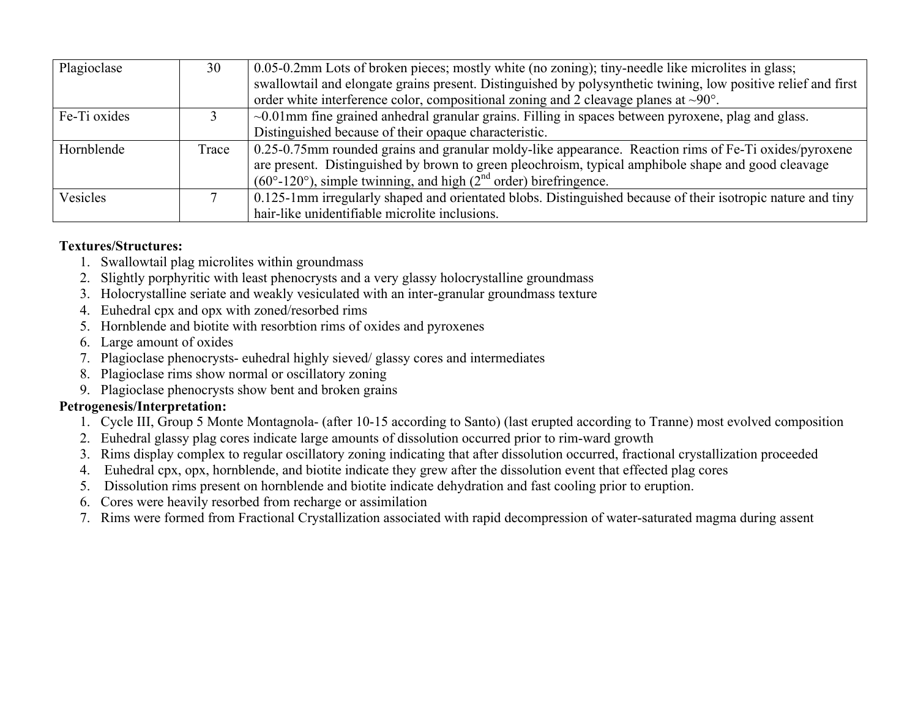| Plagioclase  | 30    | 0.05-0.2mm Lots of broken pieces; mostly white (no zoning); tiny-needle like microlites in glass;              |
|--------------|-------|----------------------------------------------------------------------------------------------------------------|
|              |       | swallowtail and elongate grains present. Distinguished by polysynthetic twining, low positive relief and first |
|              |       | order white interference color, compositional zoning and 2 cleavage planes at $\sim 90^{\circ}$ .              |
| Fe-Ti oxides |       | $\sim 0.01$ mm fine grained annideral granular grains. Filling in spaces between pyroxene, plag and glass.     |
|              |       | Distinguished because of their opaque characteristic.                                                          |
| Hornblende   | Trace | 0.25-0.75mm rounded grains and granular moldy-like appearance. Reaction rims of Fe-Ti oxides/pyroxene          |
|              |       | are present. Distinguished by brown to green pleochroism, typical amphibole shape and good cleavage            |
|              |       | $(60^{\circ} - 120^{\circ})$ , simple twinning, and high $(2^{nd}$ order) birefringence.                       |
| Vesicles     |       | 0.125-1mm irregularly shaped and orientated blobs. Distinguished because of their isotropic nature and tiny    |
|              |       | hair-like unidentifiable microlite inclusions.                                                                 |

- 1. Swallowtail plag microlites within groundmass
- 2. Slightly porphyritic with least phenocrysts and a very glassy holocrystalline groundmass
- 3. Holocrystalline seriate and weakly vesiculated with an inter-granular groundmass texture
- 4. Euhedral cpx and opx with zoned/resorbed rims
- 5. Hornblende and biotite with resorbtion rims of oxides and pyroxenes
- 6. Large amount of oxides
- 7. Plagioclase phenocrysts- euhedral highly sieved/ glassy cores and intermediates
- 8. Plagioclase rims show normal or oscillatory zoning
- 9. Plagioclase phenocrysts show bent and broken grains

- 1. Cycle III, Group 5 Monte Montagnola- (after 10-15 according to Santo) (last erupted according to Tranne) most evolved composition
- 2. Euhedral glassy plag cores indicate large amounts of dissolution occurred prior to rim-ward growth
- 3. Rims display complex to regular oscillatory zoning indicating that after dissolution occurred, fractional crystallization proceeded
- 4. Euhedral cpx, opx, hornblende, and biotite indicate they grew after the dissolution event that effected plag cores
- 5. Dissolution rims present on hornblende and biotite indicate dehydration and fast cooling prior to eruption.
- 6. Cores were heavily resorbed from recharge or assimilation
- 7. Rims were formed from Fractional Crystallization associated with rapid decompression of water-saturated magma during assent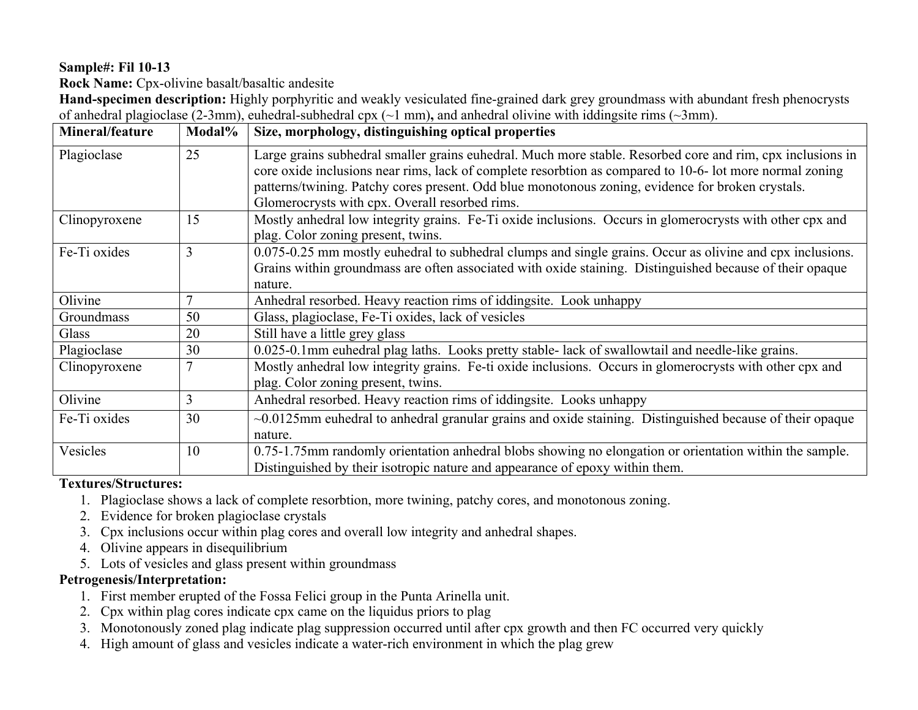## **Sample#: Fil 10-13**

**Rock Name:** Cpx-olivine basalt/basaltic andesite

**Hand-specimen description:** Highly porphyritic and weakly vesiculated fine-grained dark grey groundmass with abundant fresh phenocrysts of anhedral plagioclase (2-3mm), euhedral-subhedral cpx (~1 mm)**,** and anhedral olivine with iddingsite rims (~3mm).

| Mineral/feature | Modal%         | Size, morphology, distinguishing optical properties                                                                                                                                                                                                                                                                                                                           |
|-----------------|----------------|-------------------------------------------------------------------------------------------------------------------------------------------------------------------------------------------------------------------------------------------------------------------------------------------------------------------------------------------------------------------------------|
| Plagioclase     | 25             | Large grains subhedral smaller grains euhedral. Much more stable. Resorbed core and rim, cpx inclusions in<br>core oxide inclusions near rims, lack of complete resorbtion as compared to 10-6- lot more normal zoning<br>patterns/twining. Patchy cores present. Odd blue monotonous zoning, evidence for broken crystals.<br>Glomerocrysts with cpx. Overall resorbed rims. |
| Clinopyroxene   | 15             | Mostly anhedral low integrity grains. Fe-Ti oxide inclusions. Occurs in glomerocrysts with other cpx and<br>plag. Color zoning present, twins.                                                                                                                                                                                                                                |
| Fe-Ti oxides    | 3              | 0.075-0.25 mm mostly euhedral to subhedral clumps and single grains. Occur as olivine and cpx inclusions.<br>Grains within groundmass are often associated with oxide staining. Distinguished because of their opaque<br>nature.                                                                                                                                              |
| Olivine         | $\overline{7}$ | Anhedral resorbed. Heavy reaction rims of iddingsite. Look unhappy                                                                                                                                                                                                                                                                                                            |
| Groundmass      | 50             | Glass, plagioclase, Fe-Ti oxides, lack of vesicles                                                                                                                                                                                                                                                                                                                            |
| Glass           | 20             | Still have a little grey glass                                                                                                                                                                                                                                                                                                                                                |
| Plagioclase     | 30             | 0.025-0.1mm euhedral plag laths. Looks pretty stable-lack of swallowtail and needle-like grains.                                                                                                                                                                                                                                                                              |
| Clinopyroxene   | $\tau$         | Mostly anhedral low integrity grains. Fe-ti oxide inclusions. Occurs in glomerocrysts with other cpx and<br>plag. Color zoning present, twins.                                                                                                                                                                                                                                |
| Olivine         | 3              | Anhedral resorbed. Heavy reaction rims of iddingsite. Looks unhappy                                                                                                                                                                                                                                                                                                           |
| Fe-Ti oxides    | 30             | $\sim 0.0125$ mm euhedral to anhedral granular grains and oxide staining. Distinguished because of their opaque<br>nature.                                                                                                                                                                                                                                                    |
| Vesicles        | 10             | 0.75-1.75mm randomly orientation anhedral blobs showing no elongation or orientation within the sample.<br>Distinguished by their isotropic nature and appearance of epoxy within them.                                                                                                                                                                                       |

#### **Textures/Structures:**

- 1. Plagioclase shows a lack of complete resorbtion, more twining, patchy cores, and monotonous zoning.
- 2. Evidence for broken plagioclase crystals
- 3. Cpx inclusions occur within plag cores and overall low integrity and anhedral shapes.
- 4. Olivine appears in disequilibrium
- 5. Lots of vesicles and glass present within groundmass

- 1. First member erupted of the Fossa Felici group in the Punta Arinella unit.
- 2. Cpx within plag cores indicate cpx came on the liquidus priors to plag
- 3. Monotonously zoned plag indicate plag suppression occurred until after cpx growth and then FC occurred very quickly
- 4. High amount of glass and vesicles indicate a water-rich environment in which the plag grew